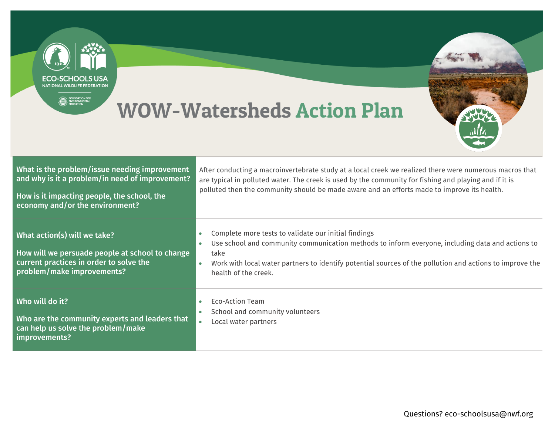